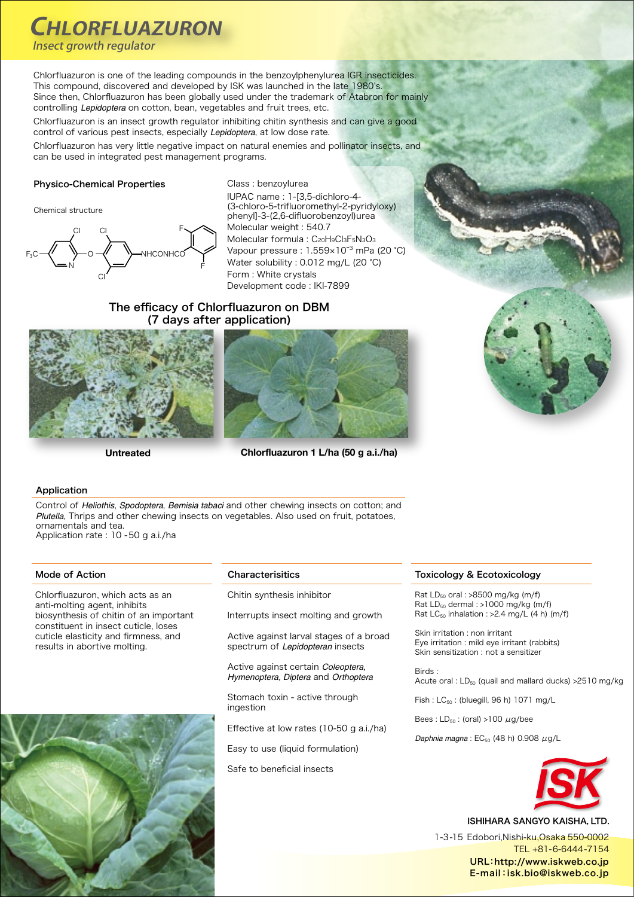# **CHLORFLUAZURON**

Insect arowth regulator

Chlorfluazuron is one of the leading compounds in the benzoylphenylurea IGR insecticides. This compound, discovered and developed by ISK was launched in the late 1980's. Since then, Chlorfluazuron has been globally used under the trademark of Atabron for mainly controlling Lepidoptera on cotton, bean, vegetables and fruit trees, etc.

Chlorfluazuron is an insect growth regulator inhibiting chitin synthesis and can give a good control of various pest insects, especially *Lepidoptera*, at low dose rate,

Chlorfluazuron has very little negative impact on natural enemies and pollinator insects, and can be used in integrated pest management programs.

### Physico-Chemical Properties

Chemical structure



Class : benzoylurea

IUPAC name : 1-[3,5-dichloro-4-(3-chloro-5-trifluoromethyl-2-pyridyloxy) phenyl]-3-(2,6-difluorobenzoyl)urea Molecular weight : 540.7 Molecular formula : C<sub>20</sub>H<sub>9</sub>Cl<sub>3</sub>F<sub>5</sub>N<sub>3</sub>O<sub>3</sub> Vapour pressure : 1.559×10<sup>-3</sup> mPa (20 °C) Water solubility : 0.012 mg/L (20 °C) Form : White crystals Development code : IKI-7899

### The efficacy of Chlorfluazuron on DBM (7 days after application)





Untreated Chlorfluazuron 1 L/ha (50 g a.i./ha)

### Application

Control of Heliothis, Spodoptera, Bemisia tabaci and other chewing insects on cotton; and Plutella, Thrips and other chewing insects on vegetables. Also used on fruit, potatoes, ornamentals and tea. Application rate : 10 - 50 g a.i./ha

Chlorfluazuron, which acts as an anti-molting agent, inhibits biosynthesis of chitin of an important constituent in insect cuticle, loses cuticle elasticity and firmness, and results in abortive molting.



### Mode of Action **Characterisitics**

Chitin synthesis inhibitor

Interrupts insect molting and growth

Active against larval stages of a broad spectrum of *Lepidopteran* insects

Active against certain Coleoptera. *Hymenoptera, Diptera and Orthoptera* 

Stomach toxin - active through ingestion

Effective at low rates (10-50 g a.i./ha)

Easy to use (liquid formulation)

Safe to beneficial insects

### Ecotoxicology & Toxicology

Rat  $LD_{50}$  oral : >8500 mg/kg (m/f) Rat  $LD_{50}$  dermal : >1000 mg/kg (m/f) Rat  $LC_{50}$  inhalation : > 2.4 mg/L (4 h) (m/f)

Skin irritation : non irritant Eye irritation : mild eye irritant (rabbits) Skin sensitization : not a sensitizer

 : Birds Acute oral :  $LD_{50}$  (quail and mallard ducks) >  $2510$  mg/kg

 $Fish : LC_{50}$ : (bluegill, 96 h) 1071 mg/L

Bees:  $LD_{50}$ : (oral) >100  $\mu$ g/bee

Daphnia magna :  $EC_{50}$  (48 h) 0.908 μg/L



ISHIHARA SANGYO KAISHA, LTD.

1-3-15 Edobori.Nishi-ku.Osaka 550-0002 TEL +81-6-6444-7154 URL:http://www.iskweb.co.jp E-mail: isk.bio@iskweb.co.jp